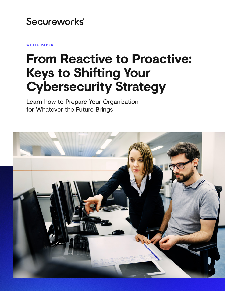# Secureworks®

**WHITE PAPER**

# **From Reactive to Proactive: Keys to Shifting Your Cybersecurity Strategy**

Learn how to Prepare Your Organization for Whatever the Future Brings

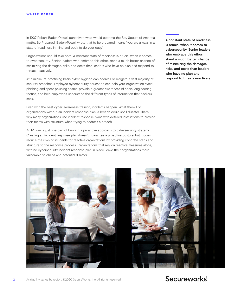In 1907 Robert Baden-Powell conceived what would become the Boy Scouts of America motto, Be Prepared. Baden-Powell wrote that to be prepared means "you are always in a state of readiness in mind and body to do your duty."

Organizations should take note. A constant state of readiness is crucial when it comes to cybersecurity. Senior leaders who embrace this ethos stand a much better chance of minimizing the damages, risks, and costs than leaders who have no plan and respond to threats reactively.

At a minimum, practicing basic cyber hygiene can address or mitigate a vast majority of security breaches. Employee cybersecurity education can help your organization avoid phishing and spear phishing scams, provide a greater awareness of social engineering tactics, and help employees understand the different types of information that hackers seek.

Even with the best cyber awareness training, incidents happen. What then? For organizations without an incident response plan, a breach could spell disaster. That's why many organizations use incident response plans with detailed instructions to provide their teams with structure when trying to address a breach.

An IR plan is just one part of building a proactive approach to cybersecurity strategy, Creating an incident response plan doesn't guarantee a proactive posture, but it does reduce the risks of incidents for reactive organizations by providing concrete steps and structure to the response process. Organizations that rely on reactive measures alone, with no cybersecurity incident response plan in place, leave their organizations more vulnerable to chaos and potential disaster.

A constant state of readiness is crucial when it comes to cybersecurity. Senior leaders who embrace this ethos stand a much better chance of minimizing the damages, risks, and costs than leaders who have no plan and respond to threats reactively.

Secureworks



### 2 Availability varies by region. ©2020 SecureWorks, Inc. All rights reserved.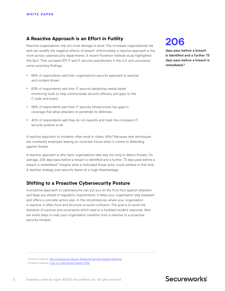### **A Reactive Approach is an Effort in Futility**

Reactive organizations only act once damage is done. This increases organizational risk and can amplify the negative effects of breach. Unfortunately, a reactive approach is the norm across cybersecurity departments. A recent Ponemon Institute study highlighted this fact.1 They surveyed 577 IT and IT security practitioners in the U.S. and uncovered some surprising findings:

- 69% of respondents said their organization's security approach is reactive and incident driven.
- 63% of respondents said their IT security leadership needs better monitoring tools to help communicate security efficacy and gaps to the C-suite and board.
- 56% of respondents said their IT security infrastructure has gaps in coverage that allow attackers to penetrate its defenses.
- 40% of respondents said they do not quantify and track the company's IT security posture at all.

A reactive approach to incidents often ends in chaos. Why? Because new techniques are constantly employed, leaving an uncertain future when it comes to defending against threats.

A reactive approach is why many organizations take way too long to detect threats. On average, 206 days pass before a breach is identified and a further 73 days pass before a breach is remediated.<sup>2</sup> Imagine what a motivated threat actor could achieve in that time. A reactive strategy puts security teams at a huge disadvantage.

### **Shifting to a Proactive Cybersecurity Posture**

A proactive approach to cybersecurity can put you on the front foot against attackers and keep you ahead of regulatory requirements. It helps your organization stay prepared and offers a concrete action plan. In the circumstances where your organization is reactive, it offers form and structure to avoid confusion. The goal is to avoid the elements of surprise and uncertainty which lead to a fumbled incident response. Here are some steps to help your organization transition from a reactive to a proactive security mindset:

## **206**

days pass before a breach is identified and a further 73 days pass before a breach is remediated.**2**

<sup>&</sup>lt;sup>1</sup> Ponemon Institute, *The Cybersecurity Illusion: Enterprise Security Remains Reactive* 

<sup>&</sup>lt;sup>2</sup> Ponemon Institute, [Cost of a Data Breach Report 2019](https://databreachcalculator.mybluemix.net/)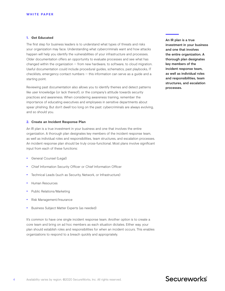#### **1. Get Educated**

The first step for business leaders is to understand what types of threats and risks your organization may face. Understanding what cybercriminals want and how attacks happen will help you identify the vulnerabilities of your infrastructure and processes. Older documentation offers an opportunity to evaluate processes and see what has changed within the organization  $-$  from new hardware, to software, to cloud migration. Useful documentation could include procedural guides, schematics, past playbooks, IT checklists, emergency contact numbers — this information can serve as a guide and a starting point.

Reviewing past documentation also allows you to identify themes and detect patterns like user knowledge (or lack thereof), or the company's attitude towards security practices and awareness. When considering awareness training, remember the importance of educating executives and employees in sensitive departments about spear phishing. But don't dwell too long on the past: cybercriminals are always evolving, and so should you.

### **2. Create an Incident Response Plan**

An IR plan is a true investment in your business and one that involves the entire organization. A thorough plan designates key members of the incident response team, as well as individual roles and responsibilities, team structures, and escalation processes. An incident response plan should be truly cross-functional. Most plans involve significant input from each of these functions:

- General Counsel (Legal)
- Chief Information Security Officer or Chief Information Officer
- Technical Leads (such as Security, Network, or Infrastructure)
- Human Resources
- Public Relations/Marketing
- Risk Management/Insurance
- Business Subject Matter Experts (as needed)

It's common to have one single incident response team. Another option is to create a core team and bring on ad hoc members as each situation dictates. Either way, your plan should establish roles and responsibilities for when an incident occurs. This enables organizations to respond to a breach quickly and appropriately.

An IR plan is a true investment in your business and one that involves the entire organization. A thorough plan designates key members of the incident response team, as well as individual roles and responsibilities, team structures, and escalation processes.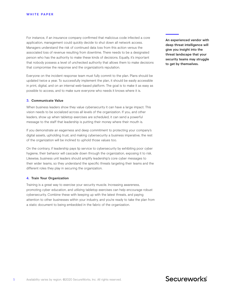For instance, if an insurance company confirmed that malicious code infected a core application, management could quickly decide to shut down all network access. Managers understand the risk of continued data loss from this action versus the associated loss of revenue resulting from downtime. There needs to be a designated person who has the authority to make these kinds of decisions. Equally, it's important that nobody possess a level of unchecked authority that allows them to make decisions that compromise the response and the organization's reputation.

Everyone on the incident response team must fully commit to the plan. Plans should be updated twice a year. To successfully implement the plan, it should be easily accessible in print, digital, and on an internal web-based platform. The goal is to make it as easy as possible to access, and to make sure everyone who needs it knows where it is.

### **3. Communicate Value**

When business leaders show they value cybersecurity it can have a large impact. This vision needs to be socialized across all levels of the organization. If you, and other leaders, show up when tabletop exercises are scheduled, it can send a powerful message to the staff that leadership is putting their money where their mouth is.

If you demonstrate an eagerness and deep commitment to protecting your company's digital assets, upholding trust, and making cybersecurity a business imperative, the rest of the organization will be inclined to uphold those values too.

On the contrary, if leadership pays lip service to cybersecurity by exhibiting poor cyber hygiene, their behavior will cascade down through the organization, exposing it to risk. Likewise, business unit leaders should amplify leadership's core cyber messages to their wider teams, so they understand the specific threats targeting their teams and the different roles they play in securing the organization.

#### **4. Train Your Organization**

Training is a great way to exercise your security muscle. Increasing awareness, promoting cyber education, and utilizing tabletop exercises can help encourage robust cybersecurity. Combine these with keeping up with the latest threats, and paying attention to other businesses within your industry, and you're ready to take the plan from a static document to being embedded in the fabric of the organization.

An experienced vendor with deep threat intelligence will give you insight into the threat landscape that your security teams may struggle to get by themselves.

### Secureworks®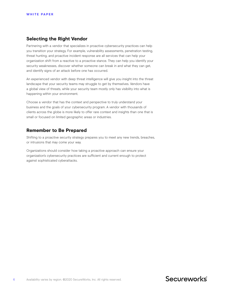### **Selecting the Right Vendor**

Partnering with a vendor that specializes in proactive cybersecurity practices can help you transition your strategy. For example, vulnerability assessments, penetration testing, threat hunting, and proactive incident response are all services that can help your organization shift from a reactive to a proactive stance. They can help you identify your security weaknesses, discover whether someone can break in and what they can get, and identify signs of an attack before one has occurred.

An experienced vendor with deep threat intelligence will give you insight into the threat landscape that your security teams may struggle to get by themselves. Vendors have a global view of threats, while your security team mostly only has visibility into what is happening within your environment.

Choose a vendor that has the context and perspective to truly understand your business and the goals of your cybersecurity program. A vendor with thousands of clients across the globe is more likely to offer rare context and insights than one that is small or focused on limited geographic areas or industries.

### **Remember to Be Prepared**

Shifting to a proactive security strategy prepares you to meet any new trends, breaches, or intrusions that may come your way.

Organizations should consider how taking a proactive approach can ensure your organization's cybersecurity practices are sufficient and current enough to protect against sophisticated cyberattacks.